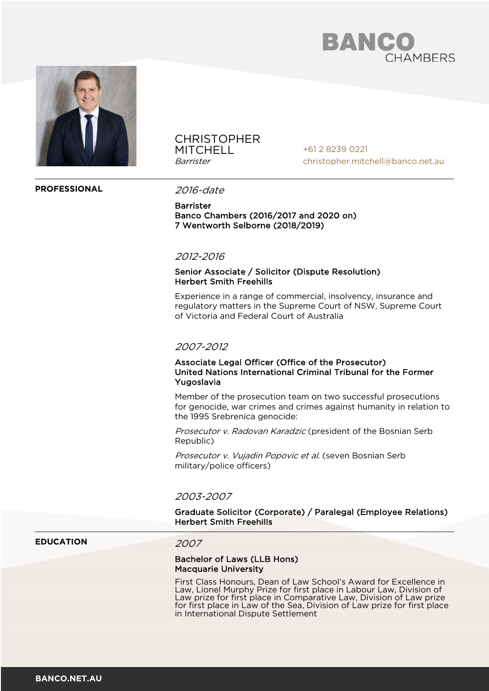



## **CHRISTOPHER MITCHELL** Barrister

+61 2 8239 0221 christopher.mitchell@banco.net.au

## **PROFESSIONAL** 2016-date

**Barrister** Banco Chambers (2016/2017 and 2020 on) 7 Wentworth Selborne (2018/2019)

## 2012-2016

## Senior Associate / Solicitor (Dispute Resolution) Herbert Smith Freehills

Experience in a range of commercial, insolvency, insurance and regulatory matters in the Supreme Court of NSW, Supreme Court of Victoria and Federal Court of Australia

## 2007-2012

## Associate Legal Officer (Office of the Prosecutor) United Nations International Criminal Tribunal for the Former Yugoslavia

Member of the prosecution team on two successful prosecutions for genocide, war crimes and crimes against humanity in relation to the 1995 Srebrenica genocide:

Prosecutor v. Radovan Karadzic (president of the Bosnian Serb Republic)

Prosecutor v. Vujadin Popovic et al. (seven Bosnian Serb military/police officers)

### 2003-2007

## Graduate Solicitor (Corporate) / Paralegal (Employee Relations) Herbert Smith Freehills

## **EDUCATION** 2007

### Bachelor of Laws (LLB Hons) Macquarie University

First Class Honours, Dean of Law School's Award for Excellence in Law, Lionel Murphy Prize for first place in Labour Law, Division of Law prize for first place in Comparative Law, Division of Law prize for first place in Law of the Sea, Division of Law prize for first place in International Dispute Settlement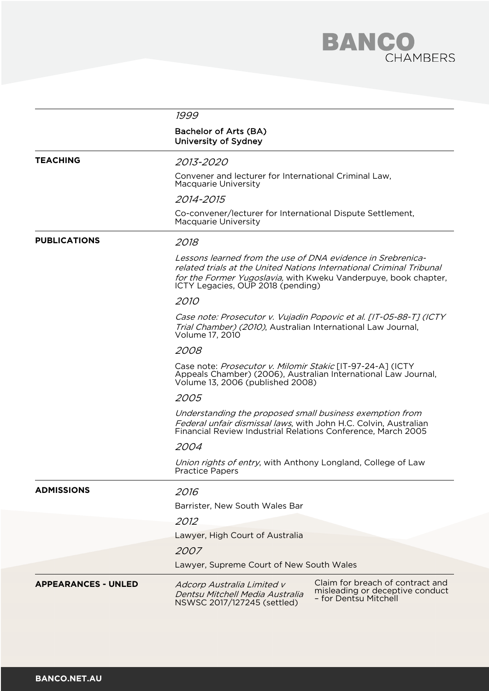

|                            | 1999                                                                                                                                                                                                                                        |  |
|----------------------------|---------------------------------------------------------------------------------------------------------------------------------------------------------------------------------------------------------------------------------------------|--|
|                            |                                                                                                                                                                                                                                             |  |
|                            | Bachelor of Arts (BA)<br>University of Sydney                                                                                                                                                                                               |  |
| <b>TEACHING</b>            | 2013-2020                                                                                                                                                                                                                                   |  |
|                            | Convener and lecturer for International Criminal Law,<br>Macquarie University                                                                                                                                                               |  |
|                            | 2014-2015                                                                                                                                                                                                                                   |  |
|                            | Co-convener/lecturer for International Dispute Settlement,<br>Macquarie University                                                                                                                                                          |  |
| <b>PUBLICATIONS</b>        | 2018                                                                                                                                                                                                                                        |  |
|                            | Lessons learned from the use of DNA evidence in Srebrenica-<br>related trials at the United Nations International Criminal Tribunal<br>for the Former Yugoslavia, with Kweku Vanderpuye, book chapter,<br>ICTY Legacies, OUP 2018 (pending) |  |
|                            | 2010                                                                                                                                                                                                                                        |  |
|                            | Case note: Prosecutor v. Vujadin Popovic et al. [IT-05-88-T] (ICTY<br>Trial Chamber) (2010), Australian International Law Journal,<br>Volume 17, 2010                                                                                       |  |
|                            | 2008                                                                                                                                                                                                                                        |  |
|                            | Case note: Prosecutor v. Milomir Stakic [IT-97-24-A] (ICTY<br>Appeals Chamber) (2006), Australian International Law Journal,<br>Volume 13, 2006 (published 2008)                                                                            |  |
|                            | 2005                                                                                                                                                                                                                                        |  |
|                            | Understanding the proposed small business exemption from<br>Federal unfair dismissal laws, with John H.C. Colvin, Australian<br>Financial Review Industrial Relations Conference, March 2005                                                |  |
|                            | 2004                                                                                                                                                                                                                                        |  |
|                            | Union rights of entry, with Anthony Longland, College of Law<br>Practice Papers                                                                                                                                                             |  |
| <b>ADMISSIONS</b>          | 2016                                                                                                                                                                                                                                        |  |
|                            | Barrister, New South Wales Bar                                                                                                                                                                                                              |  |
|                            | 2012                                                                                                                                                                                                                                        |  |
|                            | Lawyer, High Court of Australia                                                                                                                                                                                                             |  |
|                            | 2007                                                                                                                                                                                                                                        |  |
|                            | Lawyer, Supreme Court of New South Wales                                                                                                                                                                                                    |  |
| <b>APPEARANCES - UNLED</b> | Claim for breach of contract and<br>Adcorp Australia Limited v<br>misleading or deceptive conduct<br>Dentsu Mitchell Media Australia<br>- for Dentsu Mitchell<br>NSWSC 2017/127245 (settled)                                                |  |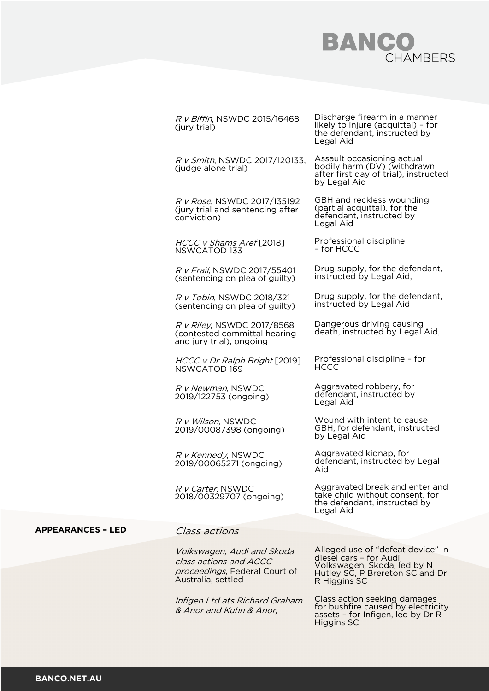## **BANCO**<br>CHAMBERS

|                          | R v Biffin, NSWDC 2015/16468<br>(jury trial)                                                                | Discharge firearm in a manner<br>likely to injure (acquittal) - for<br>the defendant, instructed by<br>Legal Aid                               |
|--------------------------|-------------------------------------------------------------------------------------------------------------|------------------------------------------------------------------------------------------------------------------------------------------------|
|                          | R v Smith, NSWDC 2017/120133,<br>(judge alone trial)                                                        | Assault occasioning actual<br>bodily harm (DV) (withdrawn<br>after first day of trial), instructed<br>by Legal Aid                             |
|                          | R v Rose, NSWDC 2017/135192<br>(jury trial and sentencing after<br>conviction)                              | GBH and reckless wounding<br>(partial acquittal), for the<br>defendant, instructed by<br>Legal Aid                                             |
|                          | HCCC v Shams Aref [2018]<br>NSWCATOD 133                                                                    | Professional discipline<br>- for HCCC                                                                                                          |
|                          | R v Frail, NSWDC 2017/55401<br>(sentencing on plea of guilty)                                               | Drug supply, for the defendant,<br>instructed by Legal Aid,                                                                                    |
|                          | R v Tobin, NSWDC 2018/321<br>(sentencing on plea of guilty)                                                 | Drug supply, for the defendant,<br>instructed by Legal Aid                                                                                     |
|                          | R v Riley, NSWDC 2017/8568<br>(contested committal hearing<br>and jury trial), ongoing                      | Dangerous driving causing<br>death, instructed by Legal Aid,                                                                                   |
|                          | HCCC v Dr Ralph Bright [2019]<br>NSWCATOD 169                                                               | Professional discipline - for<br><b>HCCC</b>                                                                                                   |
|                          | R v Newman, NSWDC<br>2019/122753 (ongoing)                                                                  | Aggravated robbery, for<br>defendant, instructed by<br>Legal Aid                                                                               |
|                          | R v Wilson, NSWDC<br>2019/00087398 (ongoing)                                                                | Wound with intent to cause<br>GBH, for defendant, instructed<br>by Legal Aid                                                                   |
|                          | R v Kennedy, NSWDC<br>2019/00065271 (ongoing)                                                               | Aggravated kidnap, for<br>defendant, instructed by Legal<br>Aid                                                                                |
|                          | R v Carter, NSWDC<br>2018/00329707 (ongoing)                                                                | Aggravated break and enter and<br>take child without consent, for<br>the defendant, instructed by<br>Legal Aid                                 |
| <b>APPEARANCES - LED</b> | <i>Class actions</i>                                                                                        |                                                                                                                                                |
|                          | Volkswagen, Audi and Skoda<br>class actions and ACCC<br>proceedings, Federal Court of<br>Australia, settled | Alleged use of "defeat device" in<br>diesel cars - for Audi,<br>Volkswagen, Skoda, led by N<br>Hutley SC, P Brereton SC and Dr<br>R Higgins SC |
|                          | Infigen Ltd ats Richard Graham<br>& Anor and Kuhn & Anor,                                                   | Class action seeking damages<br>for bushfire caused by electricity<br>assets - for Infigen, led by Dr R<br><b>Higgins SC</b>                   |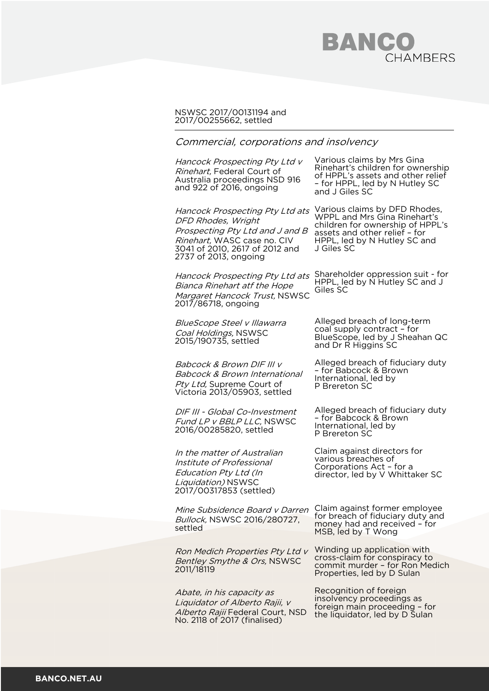## BANCO CHAMBERS

## NSWSC 2017/00131194 and 2017/00255662, settled

## Commercial, corporations and insolvency

Hancock Prospecting Pty Ltd v Rinehart, Federal Court of Australia proceedings NSD 916 and 922 of 2016, ongoing

Hancock Prospecting Pty Ltd ats DFD Rhodes, Wright Prospecting Pty Ltd and J and B Rinehart, WASC case no. CIV 3041 of 2010, 2617 of 2012 and

Hancock Prospecting Pty Ltd ats Shareholder oppression suit - for Bianca Rinehart atf the Hope Margaret Hancock Trust, NSWSC 2017/86718, ongoing

BlueScope Steel v Illawarra Coal Holdings, NSWSC 2015/190735, settled

2737 of 2013, ongoing

Babcock & Brown DIF III v Babcock & Brown International Pty Ltd, Supreme Court of Victoria 2013/05903, settled

DIF III - Global Co-Investment Fund LP v BBLP LLC, NSWSC 2016/00285820, settled

In the matter of Australian Institute of Professional Education Pty Ltd (In Liquidation) NSWSC 2017/00317853 (settled)

Bullock, NSWSC 2016/280727, settled

Ron Medich Properties Pty Ltd v Bentley Smythe & Ors, NSWSC 2011/18119

Abate, in his capacity as Liquidator of Alberto Rajii, v Alberto Rajii Federal Court, NSD No. 2118 of 2017 (finalised)

Various claims by Mrs Gina Rinehart's children for ownership of HPPL's assets and other relief – for HPPL, led by N Hutley SC and J Giles SC

Various claims by DFD Rhodes, WPPL and Mrs Gina Rinehart's children for ownership of HPPL's assets and other relief – for HPPL, led by N Hutley SC and J Giles SC

HPPL, led by N Hutley SC and J Giles SC

Alleged breach of long-term coal supply contract – for BlueScope, led by J Sheahan QC and Dr R Higgins SC

Alleged breach of fiduciary duty – for Babcock & Brown International, led by P Brereton SC

Alleged breach of fiduciary duty – for Babcock & Brown International, led by P Brereton SC

Claim against directors for various breaches of Corporations Act – for a director, led by V Whittaker SC

Mine Subsidence Board y Darren Claim against former employee for breach of fiduciary duty and money had and received – for MSB, led by T Wong

> Winding up application with cross-claim for conspiracy to commit murder – for Ron Medich Properties, led by D Sulan

Recognition of foreign insolvency proceedings as foreign main proceeding – for the liquidator, led by D Sulan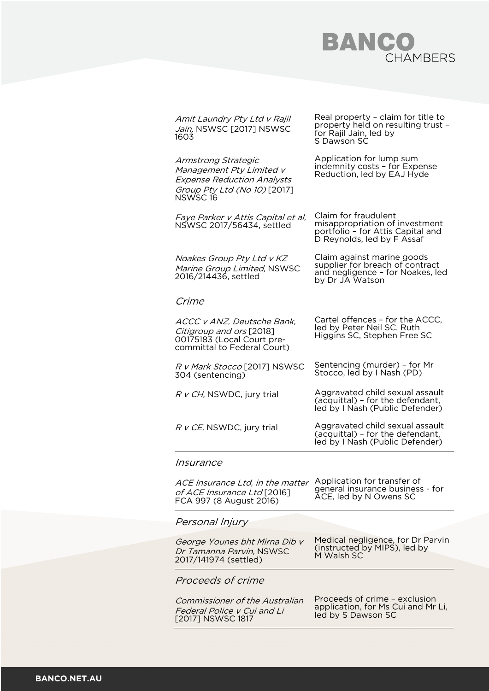## **BANCO**<br>CHAMBERS

|  | Amit Laundry Pty Ltd v Rajil<br>Jain, NSWSC [2017] NSWSC<br>1603                                                                 | Real property - claim for title to<br>property held on resulting trust -<br>for Rajil Jain, led by<br>S Dawson SC         |
|--|----------------------------------------------------------------------------------------------------------------------------------|---------------------------------------------------------------------------------------------------------------------------|
|  | Armstrong Strategic<br>Management Pty Limited v<br><b>Expense Reduction Analysts</b><br>Group Pty Ltd (No 10) [2017]<br>NSWSC 16 | Application for lump sum<br>indemnity costs - for Expense<br>Reduction, led by EAJ Hyde                                   |
|  | Faye Parker v Attis Capital et al,<br>NSWSC 2017/56434, settled                                                                  | Claim for fraudulent<br>misappropriation of investment<br>portfolio - for Attis Capital and<br>D Reynolds, led by F Assaf |
|  | Noakes Group Pty Ltd v KZ<br>Marine Group Limited, NSWSC<br>2016/214436, settled                                                 | Claim against marine goods<br>supplier for breach of contract<br>and negligence - for Noakes, led<br>by Dr JA Watson      |
|  | Crime                                                                                                                            |                                                                                                                           |
|  | ACCC v ANZ, Deutsche Bank,<br>Citigroup and ors [2018]<br>00175183 (Local Court pre-<br>committal to Federal Court)              | Cartel offences - for the ACCC,<br>led by Peter Neil SC, Ruth<br>Higgins SC, Stephen Free SC                              |
|  | R v Mark Stocco [2017] NSWSC<br>304 (sentencing)                                                                                 | Sentencing (murder) - for Mr<br>Stocco, led by I Nash (PD)                                                                |
|  | R v CH, NSWDC, jury trial                                                                                                        | Aggravated child sexual assault<br>(acquittal) - for the defendant,<br>led by I Nash (Public Defender)                    |
|  | R v CE, NSWDC, jury trial                                                                                                        | Aggravated child sexual assault<br>(acquittal) - for the defendant,<br>led by I Nash (Public Defender)                    |
|  | Insurance                                                                                                                        |                                                                                                                           |
|  | ACE Insurance Ltd, in the matter<br>of ACE Insurance Ltd [2016]<br>FCA 997 (8 August 2016)                                       | Application for transfer of<br>general insurance business - for<br>ACE, led by N Owens SC                                 |
|  | Personal Injury                                                                                                                  |                                                                                                                           |
|  | George Younes bht Mirna Dib v<br>Dr Tamanna Parvin, NSWSC<br>2017/141974 (settled)                                               | Medical negligence, for Dr Parvin<br>(instructed by MIPS), led by<br>M Walsh SC                                           |
|  | Proceeds of crime                                                                                                                |                                                                                                                           |
|  | <i>Commissioner of the Australian</i><br>Federal Police v Cui and Li<br>[2017] NSWSC 1817                                        | Proceeds of crime - exclusion<br>application, for Ms Cui and Mr Li,<br>led by S Dawson SC                                 |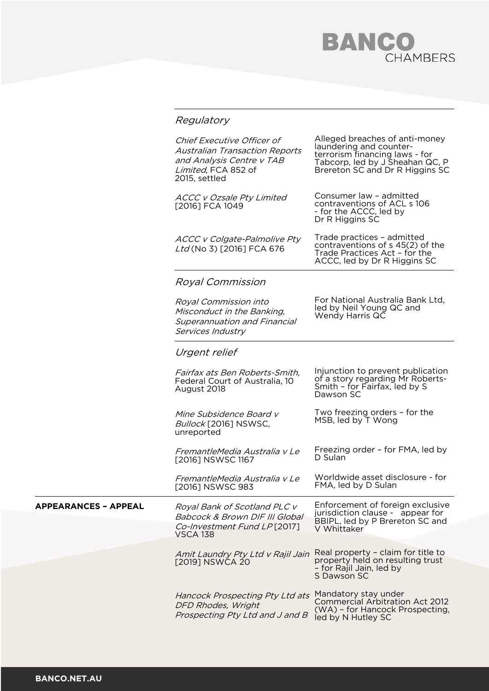# **BANCO** CHAMBERS

|                      | Regulatory                                                                                                                               |                                                                                                                                                                   |
|----------------------|------------------------------------------------------------------------------------------------------------------------------------------|-------------------------------------------------------------------------------------------------------------------------------------------------------------------|
|                      | Chief Executive Officer of<br><b>Australian Transaction Reports</b><br>and Analysis Centre v TAB<br>Limited, FCA 852 of<br>2015, settled | Alleged breaches of anti-money<br>laundering and counter-<br>terrorism financing laws - for<br>Tabcorp, led by J Sheahan QC, P<br>Brereton SC and Dr R Higgins SC |
|                      | <b>ACCC v Ozsale Pty Limited</b><br>[2016] FCA 1049                                                                                      | Consumer law - admitted<br>contraventions of ACL s 106<br>- for the ACCC, led by<br>Dr R Higgins SC                                                               |
|                      | <b>ACCC v Colgate-Palmolive Pty</b><br>Ltd (No 3) [2016] FCA 676                                                                         | Trade practices - admitted<br>contraventions of s 45(2) of the<br>Trade Practices Act - for the<br>ACCC, led by Dr R Higgins SC                                   |
|                      | <b>Royal Commission</b>                                                                                                                  |                                                                                                                                                                   |
|                      | Royal Commission into<br>Misconduct in the Banking,<br><b>Superannuation and Financial</b><br>Services Industry                          | For National Australia Bank Ltd,<br>led by Neil Young QC and<br>Wendy Harris QC                                                                                   |
|                      | Urgent relief                                                                                                                            |                                                                                                                                                                   |
|                      | Fairfax ats Ben Roberts-Smith,<br>Federal Court of Australia, 10<br>August 2018                                                          | Injunction to prevent publication<br>of a story regarding Mr Roberts-<br>Smith - for Fairfax, led by S<br>Dawson SC                                               |
|                      | Mine Subsidence Board v<br>Bullock [2016] NSWSC,<br>unreported                                                                           | Two freezing orders - for the<br>MSB, led by T Wong                                                                                                               |
|                      | FremantleMedia Australia v Le<br>[2016] NSWSC 1167                                                                                       | Freezing order - for FMA, led by<br>D Sulan                                                                                                                       |
|                      | FremantleMedia Australia v Le<br>[2016] NSWSC 983                                                                                        | Worldwide asset disclosure - for<br>FMA, led by D Sulan                                                                                                           |
| APPEARANCES - APPEAL | Royal Bank of Scotland PLC v<br>Babcock & Brown DIF III Global<br>Co-Investment Fund LP[2017]                                            | Enforcement of foreign exclusive<br>jurisdiction clause - appear for<br>BBIPL, led by P Brereton SC and<br>V Whittaker                                            |
|                      | <b>VSCA 138</b>                                                                                                                          |                                                                                                                                                                   |
|                      | Amit Laundry Pty Ltd v Rajil Jain<br>[2019] NSWCA 20                                                                                     | Real property - claim for title to<br>property held on resulting trust<br>- for Rajil Jain, led by<br>S Dawson SC                                                 |
|                      | Hancock Prospecting Pty Ltd ats<br>DFD Rhodes, Wright<br>Prospecting Pty Ltd and J and B                                                 | Mandatory stay under<br>Commercial Arbitration Act 2012<br>(WA) - for Hancock Prospecting,<br>led by N Hutley SC                                                  |